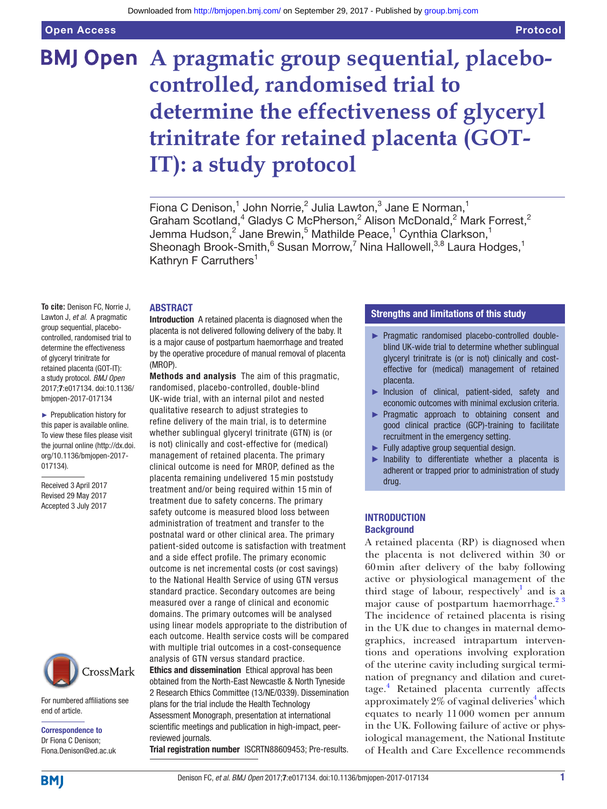Open Access

# **BMJ Open** A pragmatic group sequential, placebo**controlled, randomised trial to determine the effectiveness of glyceryl trinitrate for retained placenta (GOT-IT): a study protocol**

Fiona C Denison,<sup>1</sup> John Norrie,<sup>2</sup> Julia Lawton,<sup>3</sup> Jane E Norman,<sup>1</sup> Graham Scotland,<sup>4</sup> Gladys C McPherson,<sup>2</sup> Alison McDonald,<sup>2</sup> Mark Forrest,<sup>2</sup> Jemma Hudson, $^2$  Jane Brewin, $^5$  Mathilde Peace, $^1$  Cynthia Clarkson, $^1$ Sheonagh Brook-Smith,  $6$  Susan Morrow,  $7$  Nina Hallowell,  $3,8$  Laura Hodges,  $1$ Kathryn F Carruthers<sup>1</sup>

# **ABSTRACT**

**To cite:** Denison FC, Norrie J, Lawton J, *et al*. A pragmatic group sequential, placebocontrolled, randomised trial to determine the effectiveness of glyceryl trinitrate for retained placenta (GOT-IT): a study protocol. *BMJ Open* 2017;7:e017134. doi:10.1136/ bmjopen-2017-017134

► Prepublication history for this paper is available online. To view these files please visit the journal online [\(http://dx.doi.](http://dx.doi.org/10.1136/bmjopen-2017-017134) [org/10.1136/bmjopen-2017-](http://dx.doi.org/10.1136/bmjopen-2017-017134) [017134\)](http://dx.doi.org/10.1136/bmjopen-2017-017134).

Received 3 April 2017 Revised 29 May 2017 Accepted 3 July 2017



For numbered affiliations see end of article.

Correspondence to Dr Fiona C Denison; Fiona.Denison@ed.ac.uk Introduction A retained placenta is diagnosed when the placenta is not delivered following delivery of the baby. It is a major cause of postpartum haemorrhage and treated by the operative procedure of manual removal of placenta (MROP).

Methods and analysis The aim of this pragmatic, randomised, placebo-controlled, double-blind UK-wide trial, with an internal pilot and nested qualitative research to adjust strategies to refine delivery of the main trial, is to determine whether sublingual glyceryl trinitrate (GTN) is (or is not) clinically and cost-effective for (medical) management of retained placenta. The primary clinical outcome is need for MROP, defined as the placenta remaining undelivered 15 min poststudy treatment and/or being required within 15 min of treatment due to safety concerns. The primary safety outcome is measured blood loss between administration of treatment and transfer to the postnatal ward or other clinical area. The primary patient-sided outcome is satisfaction with treatment and a side effect profile. The primary economic outcome is net incremental costs (or cost savings) to the National Health Service of using GTN versus standard practice. Secondary outcomes are being measured over a range of clinical and economic domains. The primary outcomes will be analysed using linear models appropriate to the distribution of each outcome. Health service costs will be compared with multiple trial outcomes in a cost-consequence analysis of GTN versus standard practice.

Ethics and dissemination Ethical approval has been obtained from the North-East Newcastle & North Tyneside 2 Research Ethics Committee (13/NE/0339). Dissemination plans for the trial include the Health Technology Assessment Monograph, presentation at international scientific meetings and publication in high-impact, peerreviewed journals.

Trial registration number <ISCRTN88609453>; Pre-results.

# Strengths and limitations of this study

- ► Pragmatic randomised placebo-controlled doubleblind UK-wide trial to determine whether sublingual glyceryl trinitrate is (or is not) clinically and costeffective for (medical) management of retained placenta.
- ► Inclusion of clinical, patient-sided, safety and economic outcomes with minimal exclusion criteria.
- ► Pragmatic approach to obtaining consent and good clinical practice (GCP)-training to facilitate recruitment in the emergency setting.
- ► Fully adaptive group sequential design.
- ► Inability to differentiate whether a placenta is adherent or trapped prior to administration of study drug.

# **INTRODUCTION Background**

A retained placenta (RP) is diagnosed when the placenta is not delivered within 30 or 60min after delivery of the baby following active or physiological management of the third stage of labour, respectively<sup>[1](#page-8-0)</sup> and is a major cause of postpartum haemorrhage.<sup>23</sup> The incidence of retained placenta is rising in the UK due to changes in maternal demographics, increased intrapartum interventions and operations involving exploration of the uterine cavity including surgical termination of pregnancy and dilation and curettage.[4](#page-8-2) Retained placenta currently affects approximately  $2\%$  of vaginal deliveries<sup>[4](#page-8-2)</sup> which equates to nearly 11000 women per annum in the UK. Following failure of active or physiological management, the National Institute of Health and Care Excellence recommends

**BMI**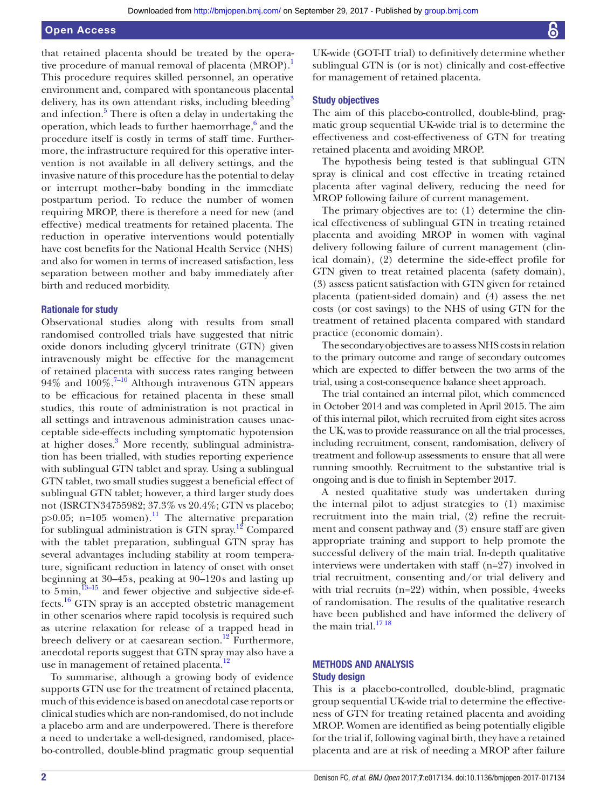that retained placenta should be treated by the opera-tive procedure of manual removal of placenta (MROP).<sup>[1](#page-8-0)</sup> This procedure requires skilled personnel, an operative environment and, compared with spontaneous placental delivery, has its own attendant risks, including bleeding<sup>[3](#page-8-3)</sup> and infection.<sup>[5](#page-8-4)</sup> There is often a delay in undertaking the operation, which leads to further haemorrhage, $6$  and the procedure itself is costly in terms of staff time. Furthermore, the infrastructure required for this operative intervention is not available in all delivery settings, and the invasive nature of this procedure has the potential to delay or interrupt mother–baby bonding in the immediate postpartum period. To reduce the number of women requiring MROP, there is therefore a need for new (and effective) medical treatments for retained placenta. The reduction in operative interventions would potentially have cost benefits for the National Health Service (NHS) and also for women in terms of increased satisfaction, less separation between mother and baby immediately after birth and reduced morbidity.

#### Rationale for study

Observational studies along with results from small randomised controlled trials have suggested that nitric oxide donors including glyceryl trinitrate (GTN) given intravenously might be effective for the management of retained placenta with success rates ranging between 94% and  $100\%$ .<sup>[7–10](#page-9-1)</sup> Although intravenous GTN appears to be efficacious for retained placenta in these small studies, this route of administration is not practical in all settings and intravenous administration causes unacceptable side-effects including symptomatic hypotension at higher doses.<sup>[3](#page-8-3)</sup> More recently, sublingual administration has been trialled, with studies reporting experience with sublingual GTN tablet and spray. Using a sublingual GTN tablet, two small studies suggest a beneficial effect of sublingual GTN tablet; however, a third larger study does not (ISRCTN34755982; 37.3% vs 20.4%; GTN vs placebo; p>0.05; n=105 women).<sup>11</sup> The alternative preparation for sublingual administration is GTN spray.[12](#page-9-3) Compared with the tablet preparation, sublingual GTN spray has several advantages including stability at room temperature, significant reduction in latency of onset with onset beginning at 30–45s, peaking at 90–120s and lasting up to  $5$ min,<sup>13-15</sup> and fewer objective and subjective side-effects.[16](#page-9-5) GTN spray is an accepted obstetric management in other scenarios where rapid tocolysis is required such as uterine relaxation for release of a trapped head in breech delivery or at caesarean section.<sup>12</sup> Furthermore, anecdotal reports suggest that GTN spray may also have a use in management of retained placenta.<sup>[12](#page-9-3)</sup>

To summarise, although a growing body of evidence supports GTN use for the treatment of retained placenta, much of this evidence is based on anecdotal case reports or clinical studies which are non-randomised, do not include a placebo arm and are underpowered. There is therefore a need to undertake a well-designed, randomised, placebo-controlled, double-blind pragmatic group sequential

UK-wide (GOT-IT trial) to definitively determine whether sublingual GTN is (or is not) clinically and cost-effective for management of retained placenta.

# Study objectives

The aim of this placebo-controlled, double-blind, pragmatic group sequential UK-wide trial is to determine the effectiveness and cost-effectiveness of GTN for treating retained placenta and avoiding MROP.

The hypothesis being tested is that sublingual GTN spray is clinical and cost effective in treating retained placenta after vaginal delivery, reducing the need for MROP following failure of current management.

The primary objectives are to: (1) determine the clinical effectiveness of sublingual GTN in treating retained placenta and avoiding MROP in women with vaginal delivery following failure of current management (clinical domain), (2) determine the side-effect profile for GTN given to treat retained placenta (safety domain), (3) assess patient satisfaction with GTN given for retained placenta (patient-sided domain) and (4) assess the net costs (or cost savings) to the NHS of using GTN for the treatment of retained placenta compared with standard practice (economic domain).

The secondary objectives are to assess NHS costs in relation to the primary outcome and range of secondary outcomes which are expected to differ between the two arms of the trial, using a cost-consequence balance sheet approach.

The trial contained an internal pilot, which commenced in October 2014 and was completed in April 2015. The aim of this internal pilot, which recruited from eight sites across the UK, was to provide reassurance on all the trial processes, including recruitment, consent, randomisation, delivery of treatment and follow-up assessments to ensure that all were running smoothly. Recruitment to the substantive trial is ongoing and is due to finish in September 2017.

A nested qualitative study was undertaken during the internal pilot to adjust strategies to (1) maximise recruitment into the main trial, (2) refine the recruitment and consent pathway and (3) ensure staff are given appropriate training and support to help promote the successful delivery of the main trial. In-depth qualitative interviews were undertaken with staff (n=27) involved in trial recruitment, consenting and/or trial delivery and with trial recruits (n=22) within, when possible, 4 weeks of randomisation. The results of the qualitative research have been published and have informed the delivery of the main trial. $1718$ 

# Methods and analysis Study design

This is a placebo-controlled, double-blind, pragmatic group sequential UK-wide trial to determine the effectiveness of GTN for treating retained placenta and avoiding MROP. Women are identified as being potentially eligible for the trial if, following vaginal birth, they have a retained placenta and are at risk of needing a MROP after failure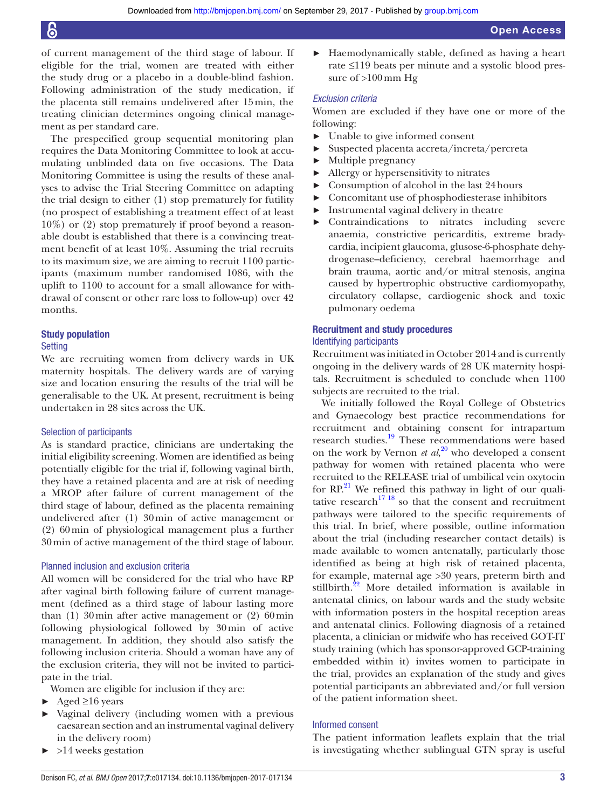of current management of the third stage of labour. If eligible for the trial, women are treated with either the study drug or a placebo in a double-blind fashion. Following administration of the study medication, if the placenta still remains undelivered after 15min, the treating clinician determines ongoing clinical management as per standard care.

The prespecified group sequential monitoring plan requires the Data Monitoring Committee to look at accumulating unblinded data on five occasions. The Data Monitoring Committee is using the results of these analyses to advise the Trial Steering Committee on adapting the trial design to either (1) stop prematurely for futility (no prospect of establishing a treatment effect of at least 10%) or (2) stop prematurely if proof beyond a reasonable doubt is established that there is a convincing treatment benefit of at least 10%. Assuming the trial recruits to its maximum size, we are aiming to recruit 1100 participants (maximum number randomised 1086, with the uplift to 1100 to account for a small allowance for withdrawal of consent or other rare loss to follow-up) over 42 months.

#### Study population

#### **Setting**

We are recruiting women from delivery wards in UK maternity hospitals. The delivery wards are of varying size and location ensuring the results of the trial will be generalisable to the UK. At present, recruitment is being undertaken in 28 sites across the UK.

# Selection of participants

As is standard practice, clinicians are undertaking the initial eligibility screening. Women are identified as being potentially eligible for the trial if, following vaginal birth, they have a retained placenta and are at risk of needing a MROP after failure of current management of the third stage of labour, defined as the placenta remaining undelivered after (1) 30min of active management or (2) 60min of physiological management plus a further 30min of active management of the third stage of labour.

#### Planned inclusion and exclusion criteria

All women will be considered for the trial who have RP after vaginal birth following failure of current management (defined as a third stage of labour lasting more than  $(1)$  30 min after active management or  $(2)$  60 min following physiological followed by 30min of active management. In addition, they should also satisfy the following inclusion criteria. Should a woman have any of the exclusion criteria, they will not be invited to participate in the trial.

Women are eligible for inclusion if they are:

- $\blacktriangleright$  Aged  $\geq 16$  years
- ► Vaginal delivery (including women with a previous caesarean section and an instrumental vaginal delivery in the delivery room)
- ► >14 weeks gestation

► Haemodynamically stable, defined as having a heart rate ≤119 beats per minute and a systolic blood pressure of >100mm Hg

#### *Exclusion criteria*

Women are excluded if they have one or more of the following:

- ► Unable to give informed consent
- ► Suspected placenta accreta/increta/percreta
- ► Multiple pregnancy
- ► Allergy or hypersensitivity to nitrates
- ► Consumption of alcohol in the last 24hours
- ► Concomitant use of phosphodiesterase inhibitors
- ► Instrumental vaginal delivery in theatre
- ► Contraindications to nitrates including severe anaemia, constrictive pericarditis, extreme bradycardia, incipient glaucoma, glusose-6-phosphate dehydrogenase–deficiency, cerebral haemorrhage and brain trauma, aortic and/or mitral stenosis, angina caused by hypertrophic obstructive cardiomyopathy, circulatory collapse, cardiogenic shock and toxic pulmonary oedema

# Recruitment and study procedures

#### Identifying participants

Recruitment was initiated in October 2014 and is currently ongoing in the delivery wards of 28 UK maternity hospitals. Recruitment is scheduled to conclude when 1100 subjects are recruited to the trial.

We initially followed the Royal College of Obstetrics and Gynaecology best practice recommendations for recruitment and obtaining consent for intrapartum research studies.<sup>19</sup> These recommendations were based on the work by Vernon *et al*, [20](#page-9-8) who developed a consent pathway for women with retained placenta who were recruited to the RELEASE trial of umbilical vein oxytocin for  $RP<sup>21</sup>$  We refined this pathway in light of our qualitative research<sup>17 18</sup> so that the consent and recruitment pathways were tailored to the specific requirements of this trial. In brief, where possible, outline information about the trial (including researcher contact details) is made available to women antenatally, particularly those identified as being at high risk of retained placenta, for example, maternal age >30 years, preterm birth and stillbirth. $22$  More detailed information is available in antenatal clinics, on labour wards and the study website with information posters in the hospital reception areas and antenatal clinics. Following diagnosis of a retained placenta, a clinician or midwife who has received GOT-IT study training (which has sponsor-approved GCP-training embedded within it) invites women to participate in the trial, provides an explanation of the study and gives potential participants an abbreviated and/or full version of the patient information sheet.

# Informed consent

The patient information leaflets explain that the trial is investigating whether sublingual GTN spray is useful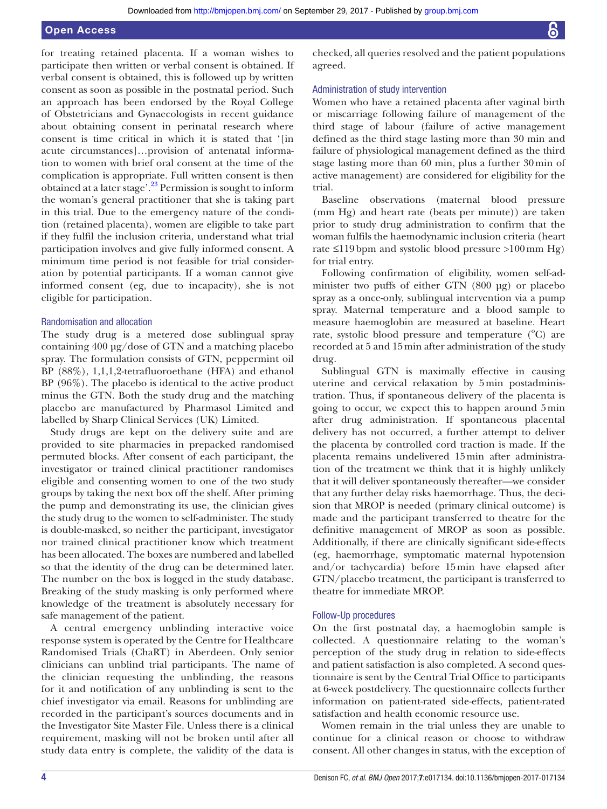for treating retained placenta. If a woman wishes to participate then written or verbal consent is obtained. If verbal consent is obtained, this is followed up by written consent as soon as possible in the postnatal period. Such an approach has been endorsed by the Royal College of Obstetricians and Gynaecologists in recent guidance about obtaining consent in perinatal research where consent is time critical in which it is stated that '[in acute circumstances]…provision of antenatal information to women with brief oral consent at the time of the complication is appropriate. Full written consent is then obtained at a later stage'[.23](#page-9-11) Permission is sought to inform the woman's general practitioner that she is taking part in this trial. Due to the emergency nature of the condition (retained placenta), women are eligible to take part if they fulfil the inclusion criteria, understand what trial participation involves and give fully informed consent. A minimum time period is not feasible for trial consideration by potential participants. If a woman cannot give informed consent (eg, due to incapacity), she is not eligible for participation.

# Randomisation and allocation

The study drug is a metered dose sublingual spray containing 400 µg/dose of GTN and a matching placebo spray. The formulation consists of GTN, peppermint oil BP (88%), 1,1,1,2-tetrafluoroethane (HFA) and ethanol BP (96%). The placebo is identical to the active product minus the GTN. Both the study drug and the matching placebo are manufactured by Pharmasol Limited and labelled by Sharp Clinical Services (UK) Limited.

Study drugs are kept on the delivery suite and are provided to site pharmacies in prepacked randomised permuted blocks. After consent of each participant, the investigator or trained clinical practitioner randomises eligible and consenting women to one of the two study groups by taking the next box off the shelf. After priming the pump and demonstrating its use, the clinician gives the study drug to the women to self-administer. The study is double-masked, so neither the participant, investigator nor trained clinical practitioner know which treatment has been allocated. The boxes are numbered and labelled so that the identity of the drug can be determined later. The number on the box is logged in the study database. Breaking of the study masking is only performed where knowledge of the treatment is absolutely necessary for safe management of the patient.

A central emergency unblinding interactive voice response system is operated by the Centre for Healthcare Randomised Trials (ChaRT) in Aberdeen. Only senior clinicians can unblind trial participants. The name of the clinician requesting the unblinding, the reasons for it and notification of any unblinding is sent to the chief investigator via email. Reasons for unblinding are recorded in the participant's sources documents and in the Investigator Site Master File. Unless there is a clinical requirement, masking will not be broken until after all study data entry is complete, the validity of the data is

checked, all queries resolved and the patient populations agreed.

# Administration of study intervention

Women who have a retained placenta after vaginal birth or miscarriage following failure of management of the third stage of labour (failure of active management defined as the third stage lasting more than 30 min and failure of physiological management defined as the third stage lasting more than 60 min, plus a further 30min of active management) are considered for eligibility for the trial.

Baseline observations (maternal blood pressure (mm Hg) and heart rate (beats per minute)) are taken prior to study drug administration to confirm that the woman fulfils the haemodynamic inclusion criteria (heart rate  $\leq$ 119 bpm and systolic blood pressure >100 mm Hg) for trial entry.

Following confirmation of eligibility, women self-administer two puffs of either GTN (800 µg) or placebo spray as a once-only, sublingual intervention via a pump spray. Maternal temperature and a blood sample to measure haemoglobin are measured at baseline. Heart rate, systolic blood pressure and temperature (°C) are recorded at 5 and 15min after administration of the study drug.

Sublingual GTN is maximally effective in causing uterine and cervical relaxation by 5min postadministration. Thus, if spontaneous delivery of the placenta is going to occur, we expect this to happen around 5min after drug administration. If spontaneous placental delivery has not occurred, a further attempt to deliver the placenta by controlled cord traction is made. If the placenta remains undelivered 15min after administration of the treatment we think that it is highly unlikely that it will deliver spontaneously thereafter—we consider that any further delay risks haemorrhage. Thus, the decision that MROP is needed (primary clinical outcome) is made and the participant transferred to theatre for the definitive management of MROP as soon as possible. Additionally, if there are clinically significant side-effects (eg, haemorrhage, symptomatic maternal hypotension and/or tachycardia) before 15min have elapsed after GTN/placebo treatment, the participant is transferred to theatre for immediate MROP.

## Follow-Up procedures

On the first postnatal day, a haemoglobin sample is collected. A questionnaire relating to the woman's perception of the study drug in relation to side-effects and patient satisfaction is also completed. A second questionnaire is sent by the Central Trial Office to participants at 6-week postdelivery. The questionnaire collects further information on patient-rated side-effects, patient-rated satisfaction and health economic resource use.

Women remain in the trial unless they are unable to continue for a clinical reason or choose to withdraw consent. All other changes in status, with the exception of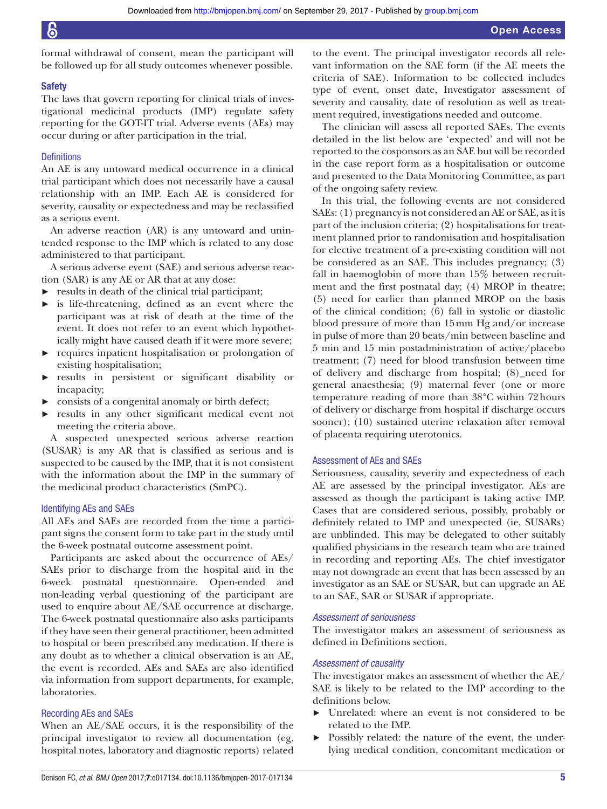formal withdrawal of consent, mean the participant will be followed up for all study outcomes whenever possible.

# **Safety**

The laws that govern reporting for clinical trials of investigational medicinal products (IMP) regulate safety reporting for the GOT-IT trial. Adverse events (AEs) may occur during or after participation in the trial.

# **Definitions**

An AE is any untoward medical occurrence in a clinical trial participant which does not necessarily have a causal relationship with an IMP. Each AE is considered for severity, causality or expectedness and may be reclassified as a serious event.

An adverse reaction (AR) is any untoward and unintended response to the IMP which is related to any dose administered to that participant.

A serious adverse event (SAE) and serious adverse reaction (SAR) is any AE or AR that at any dose:

► results in death of the clinical trial participant;

- ► is life-threatening, defined as an event where the participant was at risk of death at the time of the event. It does not refer to an event which hypothetically might have caused death if it were more severe;
- ► requires inpatient hospitalisation or prolongation of existing hospitalisation;
- ► results in persistent or significant disability or incapacity;
- $\triangleright$  consists of a congenital anomaly or birth defect;
- ► results in any other significant medical event not meeting the criteria above.

A suspected unexpected serious adverse reaction (SUSAR) is any AR that is classified as serious and is suspected to be caused by the IMP, that it is not consistent with the information about the IMP in the summary of the medicinal product characteristics (SmPC).

# Identifying AEs and SAEs

All AEs and SAEs are recorded from the time a participant signs the consent form to take part in the study until the 6-week postnatal outcome assessment point.

Participants are asked about the occurrence of AEs/ SAEs prior to discharge from the hospital and in the 6-week postnatal questionnaire. Open-ended and non-leading verbal questioning of the participant are used to enquire about AE/SAE occurrence at discharge. The 6-week postnatal questionnaire also asks participants if they have seen their general practitioner, been admitted to hospital or been prescribed any medication. If there is any doubt as to whether a clinical observation is an AE, the event is recorded. AEs and SAEs are also identified via information from support departments, for example, laboratories.

# Recording AEs and SAEs

When an AE/SAE occurs, it is the responsibility of the principal investigator to review all documentation (eg, hospital notes, laboratory and diagnostic reports) related to the event. The principal investigator records all relevant information on the SAE form (if the AE meets the criteria of SAE). Information to be collected includes type of event, onset date, Investigator assessment of severity and causality, date of resolution as well as treatment required, investigations needed and outcome.

The clinician will assess all reported SAEs. The events detailed in the list below are 'expected' and will not be reported to the cosponsors as an SAE but will be recorded in the case report form as a hospitalisation or outcome and presented to the Data Monitoring Committee, as part of the ongoing safety review.

In this trial, the following events are not considered SAEs: (1) pregnancy is not considered an AE or SAE, as it is part of the inclusion criteria; (2) hospitalisations for treatment planned prior to randomisation and hospitalisation for elective treatment of a pre-existing condition will not be considered as an SAE. This includes pregnancy; (3) fall in haemoglobin of more than 15% between recruitment and the first postnatal day; (4) MROP in theatre; (5) need for earlier than planned MROP on the basis of the clinical condition; (6) fall in systolic or diastolic blood pressure of more than 15mm Hg and/or increase in pulse of more than 20 beats/min between baseline and 5 min and 15 min postadministration of active/placebo treatment; (7) need for blood transfusion between time of delivery and discharge from hospital; (8)\_need for general anaesthesia; (9) maternal fever (one or more temperature reading of more than 38°C within 72hours of delivery or discharge from hospital if discharge occurs sooner); (10) sustained uterine relaxation after removal of placenta requiring uterotonics.

# Assessment of AEs and SAEs

Seriousness, causality, severity and expectedness of each AE are assessed by the principal investigator. AEs are assessed as though the participant is taking active IMP. Cases that are considered serious, possibly, probably or definitely related to IMP and unexpected (ie, SUSARs) are unblinded. This may be delegated to other suitably qualified physicians in the research team who are trained in recording and reporting AEs. The chief investigator may not downgrade an event that has been assessed by an investigator as an SAE or SUSAR, but can upgrade an AE to an SAE, SAR or SUSAR if appropriate.

# *Assessment of seriousness*

The investigator makes an assessment of seriousness as defined in Definitions section.

# *Assessment of causality*

The investigator makes an assessment of whether the AE/ SAE is likely to be related to the IMP according to the definitions below.

- Unrelated: where an event is not considered to be related to the IMP.
- ► Possibly related: the nature of the event, the underlying medical condition, concomitant medication or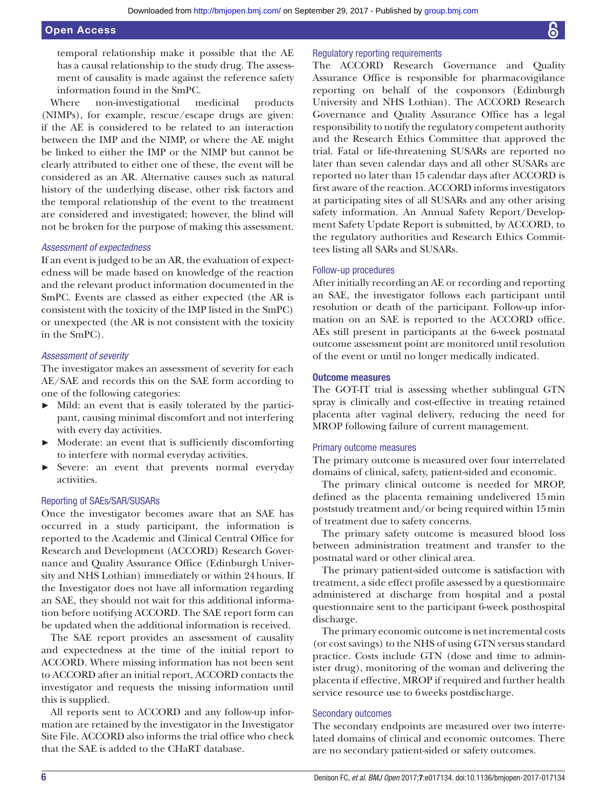temporal relationship make it possible that the AE has a causal relationship to the study drug. The assessment of causality is made against the reference safety information found in the SmPC.

Where non-investigational medicinal products (NIMPs), for example, rescue/escape drugs are given: if the AE is considered to be related to an interaction between the IMP and the NIMP, or where the AE might be linked to either the IMP or the NIMP but cannot be clearly attributed to either one of these, the event will be considered as an AR. Alternative causes such as natural history of the underlying disease, other risk factors and the temporal relationship of the event to the treatment are considered and investigated; however, the blind will not be broken for the purpose of making this assessment.

# *Assessment of expectedness*

If an event is judged to be an AR, the evaluation of expectedness will be made based on knowledge of the reaction and the relevant product information documented in the SmPC. Events are classed as either expected (the AR is consistent with the toxicity of the IMP listed in the SmPC) or unexpected (the AR is not consistent with the toxicity in the SmPC).

# *Assessment of severity*

The investigator makes an assessment of severity for each AE/SAE and records this on the SAE form according to one of the following categories:

- ► Mild: an event that is easily tolerated by the participant, causing minimal discomfort and not interfering with every day activities.
- ► Moderate: an event that is sufficiently discomforting to interfere with normal everyday activities.
- ► Severe: an event that prevents normal everyday activities.

# Reporting of SAEs/SAR/SUSARs

Once the investigator becomes aware that an SAE has occurred in a study participant, the information is reported to the Academic and Clinical Central Office for Research and Development (ACCORD) Research Governance and Quality Assurance Office (Edinburgh University and NHS Lothian) immediately or within 24hours. If the Investigator does not have all information regarding an SAE, they should not wait for this additional information before notifying ACCORD. The SAE report form can be updated when the additional information is received.

The SAE report provides an assessment of causality and expectedness at the time of the initial report to ACCORD. Where missing information has not been sent to ACCORD after an initial report, ACCORD contacts the investigator and requests the missing information until this is supplied.

All reports sent to ACCORD and any follow-up information are retained by the investigator in the Investigator Site File. ACCORD also informs the trial office who check that the SAE is added to the CHaRT database.

# Regulatory reporting requirements

The ACCORD Research Governance and Quality Assurance Office is responsible for pharmacovigilance reporting on behalf of the cosponsors (Edinburgh University and NHS Lothian). The ACCORD Research Governance and Quality Assurance Office has a legal responsibility to notify the regulatory competent authority and the Research Ethics Committee that approved the trial. Fatal or life-threatening SUSARs are reported no later than seven calendar days and all other SUSARs are reported no later than 15 calendar days after ACCORD is first aware of the reaction. ACCORD informs investigators at participating sites of all SUSARs and any other arising safety information. An Annual Safety Report/Development Safety Update Report is submitted, by ACCORD, to the regulatory authorities and Research Ethics Committees listing all SARs and SUSARs.

# Follow-up procedures

After initially recording an AE or recording and reporting an SAE, the investigator follows each participant until resolution or death of the participant. Follow-up information on an SAE is reported to the ACCORD office. AEs still present in participants at the 6-week postnatal outcome assessment point are monitored until resolution of the event or until no longer medically indicated.

# Outcome measures

The GOT-IT trial is assessing whether sublingual GTN spray is clinically and cost-effective in treating retained placenta after vaginal delivery, reducing the need for MROP following failure of current management.

# Primary outcome measures

The primary outcome is measured over four interrelated domains of clinical, safety, patient-sided and economic.

The primary clinical outcome is needed for MROP, defined as the placenta remaining undelivered 15min poststudy treatment and/or being required within 15min of treatment due to safety concerns.

The primary safety outcome is measured blood loss between administration treatment and transfer to the postnatal ward or other clinical area.

The primary patient-sided outcome is satisfaction with treatment, a side effect profile assessed by a questionnaire administered at discharge from hospital and a postal questionnaire sent to the participant 6-week posthospital discharge.

The primary economic outcome is net incremental costs (or cost savings) to the NHS of using GTN versus standard practice. Costs include GTN (dose and time to administer drug), monitoring of the woman and delivering the placenta if effective, MROP if required and further health service resource use to 6weeks postdischarge.

# Secondary outcomes

The secondary endpoints are measured over two interrelated domains of clinical and economic outcomes. There are no secondary patient-sided or safety outcomes.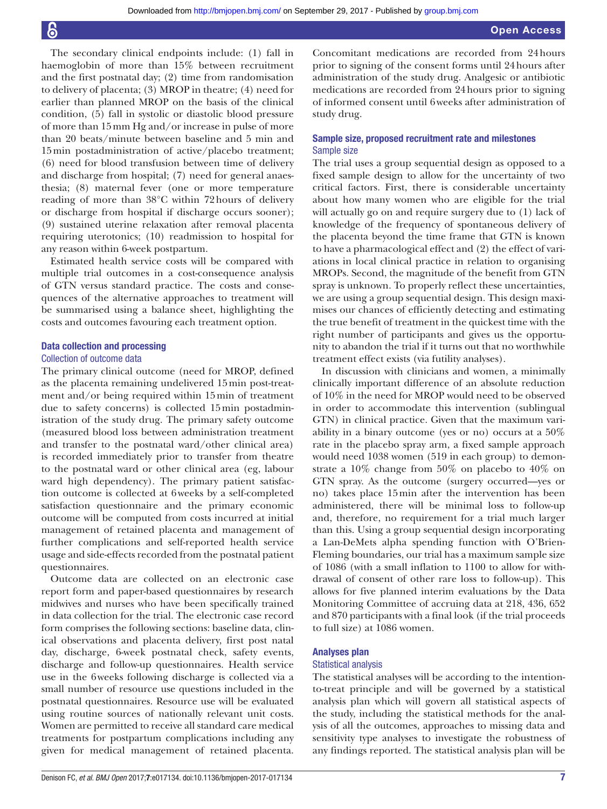The secondary clinical endpoints include: (1) fall in haemoglobin of more than 15% between recruitment and the first postnatal day; (2) time from randomisation to delivery of placenta; (3) MROP in theatre; (4) need for earlier than planned MROP on the basis of the clinical condition, (5) fall in systolic or diastolic blood pressure of more than 15mm Hg and/or increase in pulse of more than 20 beats/minute between baseline and 5 min and 15min postadministration of active/placebo treatment; (6) need for blood transfusion between time of delivery and discharge from hospital; (7) need for general anaesthesia; (8) maternal fever (one or more temperature reading of more than 38°C within 72hours of delivery or discharge from hospital if discharge occurs sooner); (9) sustained uterine relaxation after removal placenta requiring uterotonics; (10) readmission to hospital for any reason within 6-week postpartum.

Estimated health service costs will be compared with multiple trial outcomes in a cost-consequence analysis of GTN versus standard practice. The costs and consequences of the alternative approaches to treatment will be summarised using a balance sheet, highlighting the costs and outcomes favouring each treatment option.

# Data collection and processing

#### Collection of outcome data

The primary clinical outcome (need for MROP, defined as the placenta remaining undelivered 15min post-treatment and/or being required within 15min of treatment due to safety concerns) is collected 15min postadministration of the study drug. The primary safety outcome (measured blood loss between administration treatment and transfer to the postnatal ward/other clinical area) is recorded immediately prior to transfer from theatre to the postnatal ward or other clinical area (eg, labour ward high dependency). The primary patient satisfaction outcome is collected at 6weeks by a self-completed satisfaction questionnaire and the primary economic outcome will be computed from costs incurred at initial management of retained placenta and management of further complications and self-reported health service usage and side-effects recorded from the postnatal patient questionnaires.

Outcome data are collected on an electronic case report form and paper-based questionnaires by research midwives and nurses who have been specifically trained in data collection for the trial. The electronic case record form comprises the following sections: baseline data, clinical observations and placenta delivery, first post natal day, discharge, 6-week postnatal check, safety events, discharge and follow-up questionnaires. Health service use in the 6weeks following discharge is collected via a small number of resource use questions included in the postnatal questionnaires. Resource use will be evaluated using routine sources of nationally relevant unit costs. Women are permitted to receive all standard care medical treatments for postpartum complications including any given for medical management of retained placenta.

Concomitant medications are recorded from 24hours prior to signing of the consent forms until 24hours after administration of the study drug. Analgesic or antibiotic medications are recorded from 24hours prior to signing of informed consent until 6weeks after administration of study drug.

# Sample size, proposed recruitment rate and milestones Sample size

The trial uses a group sequential design as opposed to a fixed sample design to allow for the uncertainty of two critical factors. First, there is considerable uncertainty about how many women who are eligible for the trial will actually go on and require surgery due to (1) lack of knowledge of the frequency of spontaneous delivery of the placenta beyond the time frame that GTN is known to have a pharmacological effect and (2) the effect of variations in local clinical practice in relation to organising MROPs. Second, the magnitude of the benefit from GTN spray is unknown. To properly reflect these uncertainties, we are using a group sequential design. This design maximises our chances of efficiently detecting and estimating the true benefit of treatment in the quickest time with the right number of participants and gives us the opportunity to abandon the trial if it turns out that no worthwhile treatment effect exists (via futility analyses).

In discussion with clinicians and women, a minimally clinically important difference of an absolute reduction of 10% in the need for MROP would need to be observed in order to accommodate this intervention (sublingual GTN) in clinical practice. Given that the maximum variability in a binary outcome (yes or no) occurs at a 50% rate in the placebo spray arm, a fixed sample approach would need 1038 women (519 in each group) to demonstrate a 10% change from 50% on placebo to 40% on GTN spray. As the outcome (surgery occurred—yes or no) takes place 15min after the intervention has been administered, there will be minimal loss to follow-up and, therefore, no requirement for a trial much larger than this. Using a group sequential design incorporating a Lan-DeMets alpha spending function with O'Brien-Fleming boundaries, our trial has a maximum sample size of 1086 (with a small inflation to 1100 to allow for withdrawal of consent of other rare loss to follow-up). This allows for five planned interim evaluations by the Data Monitoring Committee of accruing data at 218, 436, 652 and 870 participants with a final look (if the trial proceeds to full size) at 1086 women.

# Analyses plan

#### Statistical analysis

The statistical analyses will be according to the intentionto-treat principle and will be governed by a statistical analysis plan which will govern all statistical aspects of the study, including the statistical methods for the analysis of all the outcomes, approaches to missing data and sensitivity type analyses to investigate the robustness of any findings reported. The statistical analysis plan will be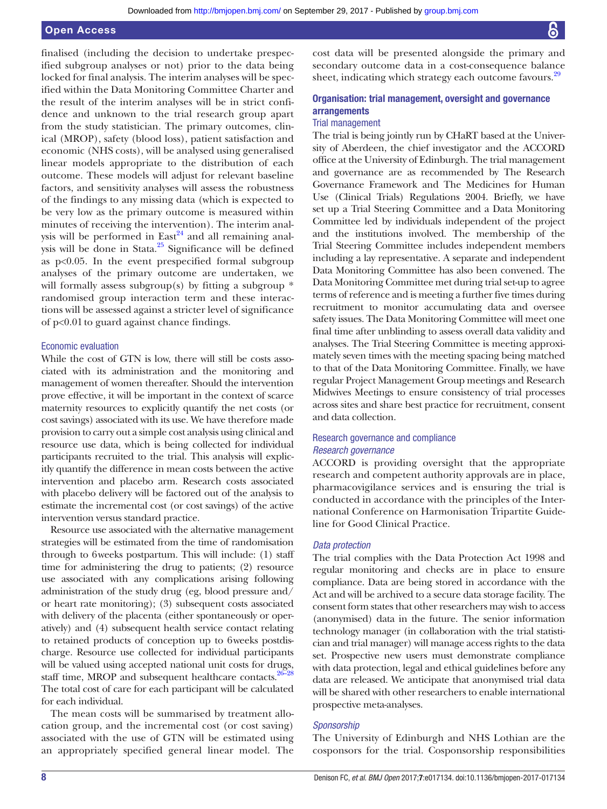# Open Access

finalised (including the decision to undertake prespecified subgroup analyses or not) prior to the data being locked for final analysis. The interim analyses will be specified within the Data Monitoring Committee Charter and the result of the interim analyses will be in strict confidence and unknown to the trial research group apart from the study statistician. The primary outcomes, clinical (MROP), safety (blood loss), patient satisfaction and economic (NHS costs), will be analysed using generalised linear models appropriate to the distribution of each outcome. These models will adjust for relevant baseline factors, and sensitivity analyses will assess the robustness of the findings to any missing data (which is expected to be very low as the primary outcome is measured within minutes of receiving the intervention). The interim analysis will be performed in East $^{24}$  $^{24}$  $^{24}$  and all remaining analysis will be done in Stata. $25$  Significance will be defined as p<0.05. In the event prespecified formal subgroup analyses of the primary outcome are undertaken, we will formally assess subgroup(s) by fitting a subgroup  $*$ randomised group interaction term and these interactions will be assessed against a stricter level of significance of  $p<0.01$  to guard against chance findings.

# Economic evaluation

While the cost of GTN is low, there will still be costs associated with its administration and the monitoring and management of women thereafter. Should the intervention prove effective, it will be important in the context of scarce maternity resources to explicitly quantify the net costs (or cost savings) associated with its use. We have therefore made provision to carry out a simple cost analysis using clinical and resource use data, which is being collected for individual participants recruited to the trial. This analysis will explicitly quantify the difference in mean costs between the active intervention and placebo arm. Research costs associated with placebo delivery will be factored out of the analysis to estimate the incremental cost (or cost savings) of the active intervention versus standard practice.

Resource use associated with the alternative management strategies will be estimated from the time of randomisation through to 6weeks postpartum. This will include: (1) staff time for administering the drug to patients; (2) resource use associated with any complications arising following administration of the study drug (eg, blood pressure and/ or heart rate monitoring); (3) subsequent costs associated with delivery of the placenta (either spontaneously or operatively) and (4) subsequent health service contact relating to retained products of conception up to 6weeks postdischarge. Resource use collected for individual participants will be valued using accepted national unit costs for drugs, staff time, MROP and subsequent healthcare contacts.<sup>26–28</sup> The total cost of care for each participant will be calculated for each individual.

The mean costs will be summarised by treatment allocation group, and the incremental cost (or cost saving) associated with the use of GTN will be estimated using an appropriately specified general linear model. The

cost data will be presented alongside the primary and secondary outcome data in a cost-consequence balance sheet, indicating which strategy each outcome favours.<sup>29</sup>

# Organisation: trial management, oversight and governance arrangements

## Trial management

The trial is being jointly run by CHaRT based at the University of Aberdeen, the chief investigator and the ACCORD office at the University of Edinburgh. The trial management and governance are as recommended by The Research Governance Framework and The Medicines for Human Use (Clinical Trials) Regulations 2004. Briefly, we have set up a Trial Steering Committee and a Data Monitoring Committee led by individuals independent of the project and the institutions involved. The membership of the Trial Steering Committee includes independent members including a lay representative. A separate and independent Data Monitoring Committee has also been convened. The Data Monitoring Committee met during trial set-up to agree terms of reference and is meeting a further five times during recruitment to monitor accumulating data and oversee safety issues. The Data Monitoring Committee will meet one final time after unblinding to assess overall data validity and analyses. The Trial Steering Committee is meeting approximately seven times with the meeting spacing being matched to that of the Data Monitoring Committee. Finally, we have regular Project Management Group meetings and Research Midwives Meetings to ensure consistency of trial processes across sites and share best practice for recruitment, consent and data collection.

# Research governance and compliance *Research governance*

ACCORD is providing oversight that the appropriate research and competent authority approvals are in place, pharmacovigilance services and is ensuring the trial is conducted in accordance with the principles of the International Conference on Harmonisation Tripartite Guideline for Good Clinical Practice.

#### *Data protection*

The trial complies with the Data Protection Act 1998 and regular monitoring and checks are in place to ensure compliance. Data are being stored in accordance with the Act and will be archived to a secure data storage facility. The consent form states that other researchers may wish to access (anonymised) data in the future. The senior information technology manager (in collaboration with the trial statistician and trial manager) will manage access rights to the data set. Prospective new users must demonstrate compliance with data protection, legal and ethical guidelines before any data are released. We anticipate that anonymised trial data will be shared with other researchers to enable international prospective meta-analyses.

#### *Sponsorship*

The University of Edinburgh and NHS Lothian are the cosponsors for the trial. Cosponsorship responsibilities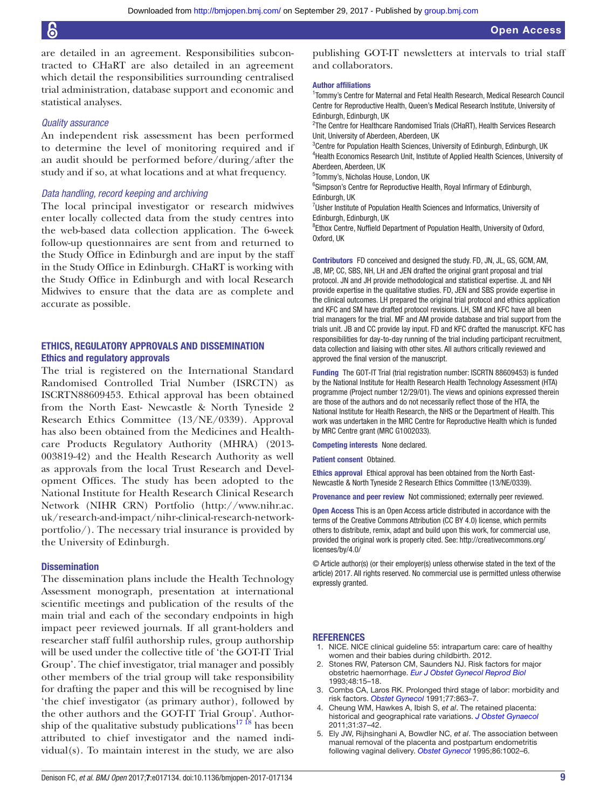b

are detailed in an agreement. Responsibilities subcontracted to CHaRT are also detailed in an agreement which detail the responsibilities surrounding centralised trial administration, database support and economic and statistical analyses.

# *Quality assurance*

An independent risk assessment has been performed to determine the level of monitoring required and if an audit should be performed before/during/after the study and if so, at what locations and at what frequency.

#### *Data handling, record keeping and archiving*

The local principal investigator or research midwives enter locally collected data from the study centres into the web-based data collection application. The 6-week follow-up questionnaires are sent from and returned to the Study Office in Edinburgh and are input by the staff in the Study Office in Edinburgh. CHaRT is working with the Study Office in Edinburgh and with local Research Midwives to ensure that the data are as complete and accurate as possible.

# Ethics, regulatory approvals and dissemination Ethics and regulatory approvals

The trial is registered on the International Standard Randomised Controlled Trial Number (ISRCTN) as ISCRTN88609453. Ethical approval has been obtained from the North East- Newcastle & North Tyneside 2 Research Ethics Committee (13/NE/0339). Approval has also been obtained from the Medicines and Healthcare Products Regulatory Authority (MHRA) (2013- 003819-42) and the Health Research Authority as well as approvals from the local Trust Research and Development Offices. The study has been adopted to the National Institute for Health Research Clinical Research Network (NIHR CRN) Portfolio [\(http://www.nihr.ac.](http://www.nihr.ac.uk/research-and-impact/nihr-clinical-research-network-portfolio/) [uk/research-and-impact/nihr-clinical-research-network](http://www.nihr.ac.uk/research-and-impact/nihr-clinical-research-network-portfolio/)[portfolio/](http://www.nihr.ac.uk/research-and-impact/nihr-clinical-research-network-portfolio/)). The necessary trial insurance is provided by the University of Edinburgh.

#### **Dissemination**

The dissemination plans include the Health Technology Assessment monograph, presentation at international scientific meetings and publication of the results of the main trial and each of the secondary endpoints in high impact peer reviewed journals. If all grant-holders and researcher staff fulfil authorship rules, group authorship will be used under the collective title of 'the GOT-IT Trial Group'. The chief investigator, trial manager and possibly other members of the trial group will take responsibility for drafting the paper and this will be recognised by line 'the chief investigator (as primary author), followed by the other authors and the GOT-IT Trial Group'. Authorship of the qualitative substudy publications<sup>17 18</sup> has been attributed to chief investigator and the named individual(s). To maintain interest in the study, we are also

publishing GOT-IT newsletters at intervals to trial staff and collaborators.

# Author affiliations

<sup>1</sup>Tommy's Centre for Maternal and Fetal Health Research, Medical Research Council Centre for Reproductive Health, Queen's Medical Research Institute, University of Edinburgh, Edinburgh, UK

<sup>2</sup>The Centre for Healthcare Randomised Trials (CHaRT), Health Services Research Unit, University of Aberdeen, Aberdeen, UK

<sup>3</sup> Centre for Population Health Sciences, University of Edinburgh, Edinburgh, UK 4 Health Economics Research Unit, Institute of Applied Health Sciences, University of Aberdeen, Aberdeen, UK

5 Tommy's, Nicholas House, London, UK

<sup>6</sup>Simpson's Centre for Reproductive Health, Royal Infirmary of Edinburgh, Edinburgh, UK

<sup>7</sup>Usher Institute of Population Health Sciences and Informatics, University of Edinburgh, Edinburgh, UK

<sup>8</sup> Ethox Centre, Nuffield Department of Population Health, University of Oxford, Oxford, UK

Contributors FD conceived and designed the study. FD, JN, JL, GS, GCM, AM, JB, MP, CC, SBS, NH, LH and JEN drafted the original grant proposal and trial protocol. JN and JH provide methodological and statistical expertise. JL and NH provide expertise in the qualitative studies. FD, JEN and SBS provide expertise in the clinical outcomes. LH prepared the original trial protocol and ethics application and KFC and SM have drafted protocol revisions. LH, SM and KFC have all been trial managers for the trial. MF and AM provide database and trial support from the trials unit. JB and CC provide lay input. FD and KFC drafted the manuscript. KFC has responsibilities for day-to-day running of the trial including participant recruitment, data collection and liaising with other sites. All authors critically reviewed and approved the final version of the manuscript.

Funding The GOT-IT Trial (trial registration number: ISCRTN 88609453) is funded by the National Institute for Health Research Health Technology Assessment (HTA) programme (Project number 12/29/01). The views and opinions expressed therein are those of the authors and do not necessarily reflect those of the HTA, the National Institute for Health Research, the NHS or the Department of Health. This work was undertaken in the MRC Centre for Reproductive Health which is funded by MRC Centre grant (MRC G1002033).

Competing interests None declared.

Patient consent Obtained.

Ethics approval Ethical approval has been obtained from the North East-Newcastle & North Tyneside 2 Research Ethics Committee (13/NE/0339).

Provenance and peer review Not commissioned; externally peer reviewed.

Open Access This is an Open Access article distributed in accordance with the terms of the Creative Commons Attribution (CC BY 4.0) license, which permits others to distribute, remix, adapt and build upon this work, for commercial use, provided the original work is properly cited. See: [http://creativecommons.org/](http://creativecommons.org/licenses/by/4.0/) [licenses/by/4.0/](http://creativecommons.org/licenses/by/4.0/)

© Article author(s) (or their employer(s) unless otherwise stated in the text of the article) 2017. All rights reserved. No commercial use is permitted unless otherwise expressly granted.

#### **REFERENCES**

- <span id="page-8-0"></span>1. NICE. NICE clinical guideline 55: intrapartum care: care of healthy women and their babies during childbirth. 2012.
- <span id="page-8-1"></span>2. Stones RW, Paterson CM, Saunders NJ. Risk factors for major obstetric haemorrhage. *[Eur J Obstet Gynecol Reprod Biol](http://dx.doi.org/10.1016/0028-2243(93)90047-G)* 1993;48:15–18.
- <span id="page-8-3"></span>3. Combs CA, Laros RK. Prolonged third stage of labor: morbidity and risk factors. *Obstet Gynecol* 1991;77:863–7.
- <span id="page-8-2"></span>4. Cheung WM, Hawkes A, Ibish S, *et al*. The retained placenta: historical and geographical rate variations. *[J Obstet Gynaecol](http://dx.doi.org/10.3109/01443615.2010.531301)* 2011;31:37–42.
- <span id="page-8-4"></span>5. Ely JW, Rijhsinghani A, Bowdler NC, *et al*. The association between manual removal of the placenta and postpartum endometritis following vaginal delivery. *Obstet Gynecol* 1995;86:1002–6.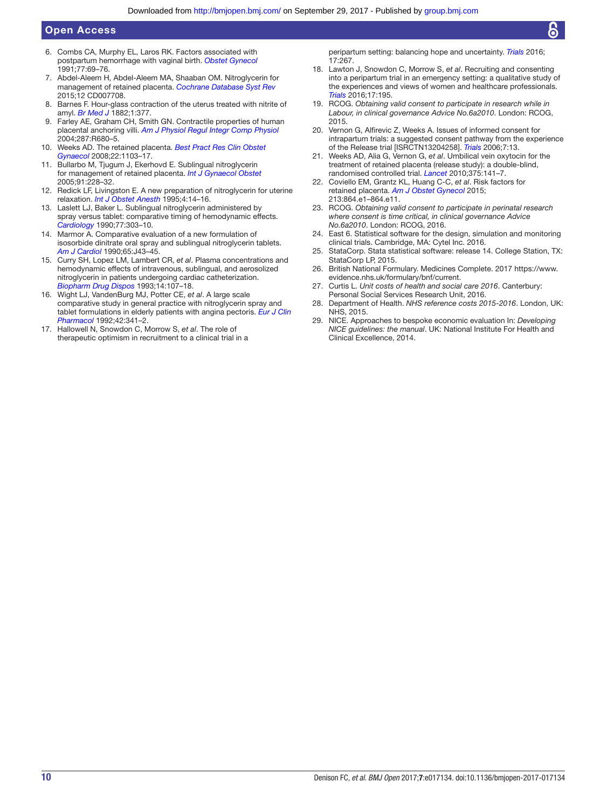- <span id="page-9-0"></span>6. Combs CA, Murphy EL, Laros RK. Factors associated with postpartum hemorrhage with vaginal birth. *Obstet Gynecol* 1991;77:69–76.
- <span id="page-9-1"></span>7. Abdel-Aleem H, Abdel-Aleem MA, Shaaban OM. Nitroglycerin for management of retained placenta. *Cochrane Database Syst Rev* 2015;12 CD007708.
- 8. Barnes F. Hour-glass contraction of the uterus treated with nitrite of amyl. *[Br Med J](http://dx.doi.org/10.1136/bmj.1.1107.377)* 1882;1:377.
- 9. Farley AE, Graham CH, Smith GN. Contractile properties of human placental anchoring villi. *[Am J Physiol Regul Integr Comp Physiol](http://dx.doi.org/10.1152/ajpregu.00222.2004)* 2004;287:R680–5.
- 10. Weeks AD. The retained placenta. *[Best Pract Res Clin Obstet](http://dx.doi.org/10.1016/j.bpobgyn.2008.07.005)  [Gynaecol](http://dx.doi.org/10.1016/j.bpobgyn.2008.07.005)* 2008;22:1103–17.
- <span id="page-9-2"></span>11. Bullarbo M, Tjugum J, Ekerhovd E. Sublingual nitroglycerin for management of retained placenta. *[Int J Gynaecol Obstet](http://dx.doi.org/10.1016/j.ijgo.2005.08.020)* 2005;91:228–32.
- <span id="page-9-3"></span>12. Redick LF, Livingston E. A new preparation of nitroglycerin for uterine relaxation. *[Int J Obstet Anesth](http://dx.doi.org/10.1016/0959-289X(95)82102-G)* 1995;4:14–16.
- <span id="page-9-4"></span>13. Laslett LJ, Baker L. Sublingual nitroglycerin administered by spray versus tablet: comparative timing of hemodynamic effects. *[Cardiology](http://dx.doi.org/10.1159/000174612)* 1990;77:303–10.
- 14. Marmor A. Comparative evaluation of a new formulation of isosorbide dinitrate oral spray and sublingual nitroglycerin tablets. *[Am J Cardiol](http://dx.doi.org/10.1016/0002-9149(90)91311-S)* 1990;65:J43–45.
- 15. Curry SH, Lopez LM, Lambert CR, *et al*. Plasma concentrations and hemodynamic effects of intravenous, sublingual, and aerosolized nitroglycerin in patients undergoing cardiac catheterization. *[Biopharm Drug Dispos](http://dx.doi.org/10.1002/bdd.2510140203)* 1993;14:107–18.
- <span id="page-9-5"></span>16. Wight LJ, VandenBurg MJ, Potter CE, *et al*. A large scale comparative study in general practice with nitroglycerin spray and tablet formulations in elderly patients with angina pectoris. *[Eur J Clin](http://dx.doi.org/10.1007/BF00266360)  [Pharmacol](http://dx.doi.org/10.1007/BF00266360)* 1992;42:341–2.
- <span id="page-9-6"></span>17. Hallowell N, Snowdon C, Morrow S, *et al*. The role of therapeutic optimism in recruitment to a clinical trial in a

peripartum setting: balancing hope and uncertainty. *[Trials](http://dx.doi.org/10.1186/s13063-016-1394-1)* 2016; 17:267.

- 18. Lawton J, Snowdon C, Morrow S, *et al*. Recruiting and consenting into a peripartum trial in an emergency setting: a qualitative study of the experiences and views of women and healthcare professionals. *[Trials](http://dx.doi.org/10.1186/s13063-016-1323-3)* 2016;17:195.
- <span id="page-9-7"></span>19. RCOG. *Obtaining valid consent to participate in research while in Labour, in clinical governance Advice No.6a2010*. London: RCOG, 2015.
- <span id="page-9-8"></span>20. Vernon G, Alfirevic Z, Weeks A. Issues of informed consent for intrapartum trials: a suggested consent pathway from the experience of the Release trial [ISRCTN13204258]. *[Trials](http://dx.doi.org/10.1186/1745-6215-7-13)* 2006;7:13.
- <span id="page-9-9"></span>21. Weeks AD, Alia G, Vernon G, *et al*. Umbilical vein oxytocin for the treatment of retained placenta (release study): a double-blind, randomised controlled trial. *[Lancet](http://dx.doi.org/10.1016/S0140-6736(09)61752-9)* 2010;375:141–7.
- <span id="page-9-10"></span>22. Coviello EM, Grantz KL, Huang C-C, *et al*. Risk factors for retained placenta. *[Am J Obstet Gynecol](http://dx.doi.org/10.1016/j.ajog.2015.07.039)* 2015; 213:864.e1–864.e11.
- <span id="page-9-11"></span>23. RCOG. *Obtaining valid consent to participate in perinatal research where consent is time critical, in clinical governance Advice No.6a2010*. London: RCOG, 2016.
- <span id="page-9-12"></span>24. East 6. Statistical software for the design, simulation and monitoring clinical trials. Cambridge, MA: Cytel Inc. 2016.
- <span id="page-9-13"></span>25. StataCorp. Stata statistical software: release 14. College Station, TX: StataCorp LP, 2015.
- <span id="page-9-14"></span>26. British National Formulary. Medicines Complete. 2017 [https://www.](https://www.evidence.nhs.uk/formulary/bnf/current) [evidence.nhs.uk/formulary/bnf/current.](https://www.evidence.nhs.uk/formulary/bnf/current)
- 27. Curtis L. *Unit costs of health and social care 2016*. Canterbury: Personal Social Services Research Unit, 2016.
- 28. Department of Health. *NHS reference costs 2015-2016*. London, UK: NHS, 2015.
- <span id="page-9-15"></span>29. NICE. Approaches to bespoke economic evaluation In: *Developing NICE guidelines: the manual*. UK: National Institute For Health and Clinical Excellence, 2014.